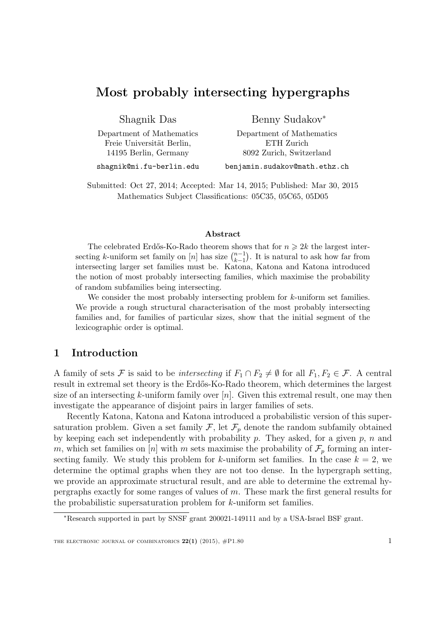# Most probably intersecting hypergraphs

Shagnik Das

Department of Mathematics Freie Universität Berlin, 14195 Berlin, Germany

Benny Sudakov<sup>∗</sup>

Department of Mathematics ETH Zurich 8092 Zurich, Switzerland

shagnik@mi.fu-berlin.edu

benjamin.sudakov@math.ethz.ch

Submitted: Oct 27, 2014; Accepted: Mar 14, 2015; Published: Mar 30, 2015 Mathematics Subject Classifications: 05C35, 05C65, 05D05

#### Abstract

The celebrated Erdős-Ko-Rado theorem shows that for  $n \geq 2k$  the largest intersecting k-uniform set family on [n] has size  $\binom{n-1}{k-1}$  $_{k-1}^{n-1}$ ). It is natural to ask how far from intersecting larger set families must be. Katona, Katona and Katona introduced the notion of most probably intersecting families, which maximise the probability of random subfamilies being intersecting.

We consider the most probably intersecting problem for k-uniform set families. We provide a rough structural characterisation of the most probably intersecting families and, for families of particular sizes, show that the initial segment of the lexicographic order is optimal.

### 1 Introduction

A family of sets F is said to be *intersecting* if  $F_1 \cap F_2 \neq \emptyset$  for all  $F_1, F_2 \in \mathcal{F}$ . A central result in extremal set theory is the Erdős-Ko-Rado theorem, which determines the largest size of an intersecting k-uniform family over  $[n]$ . Given this extremal result, one may then investigate the appearance of disjoint pairs in larger families of sets.

Recently Katona, Katona and Katona introduced a probabilistic version of this supersaturation problem. Given a set family  $\mathcal{F}$ , let  $\mathcal{F}_p$  denote the random subfamily obtained by keeping each set independently with probability  $p$ . They asked, for a given  $p$ ,  $n$  and m, which set families on [n] with m sets maximise the probability of  $\mathcal{F}_p$  forming an intersecting family. We study this problem for k-uniform set families. In the case  $k = 2$ , we determine the optimal graphs when they are not too dense. In the hypergraph setting, we provide an approximate structural result, and are able to determine the extremal hypergraphs exactly for some ranges of values of m. These mark the first general results for the probabilistic supersaturation problem for k-uniform set families.

<sup>∗</sup>Research supported in part by SNSF grant 200021-149111 and by a USA-Israel BSF grant.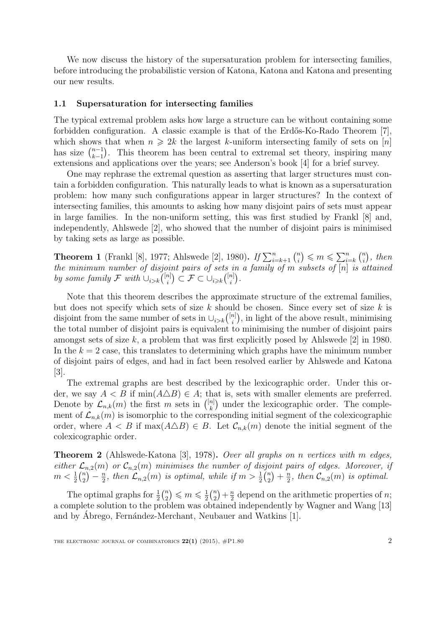We now discuss the history of the supersaturation problem for intersecting families, before introducing the probabilistic version of Katona, Katona and Katona and presenting our new results.

#### 1.1 Supersaturation for intersecting families

The typical extremal problem asks how large a structure can be without containing some forbidden configuration. A classic example is that of the Erdős-Ko-Rado Theorem  $[7]$ , which shows that when  $n \geq 2k$  the largest k-uniform intersecting family of sets on [n] has size  $\binom{n-1}{k-1}$  $_{k-1}^{n-1}$ ). This theorem has been central to extremal set theory, inspiring many extensions and applications over the years; see Anderson's book [4] for a brief survey.

One may rephrase the extremal question as asserting that larger structures must contain a forbidden configuration. This naturally leads to what is known as a supersaturation problem: how many such configurations appear in larger structures? In the context of intersecting families, this amounts to asking how many disjoint pairs of sets must appear in large families. In the non-uniform setting, this was first studied by Frankl [8] and, independently, Ahlswede [2], who showed that the number of disjoint pairs is minimised by taking sets as large as possible.

**Theorem 1** (Frankl [8], 1977; Ahlswede [2], 1980). If  $\sum_{i=k+1}^{n} {n \choose i}$  $\binom{n}{i} \leqslant m \leqslant \sum_{i=k}^{n} \binom{n}{i}$  $\binom{n}{i}$ , then the minimum number of disjoint pairs of sets in a family of m subsets of  $[n]$  is attained by some family  $\mathcal F$  with  $\cup_{i>k} \binom{[n]}{i}$  $\binom{[n]}{i}\subset\mathcal{F}\subset\cup_{i\geqslant k}\binom{[n]}{i}$  $\binom{n}{i}$ .

Note that this theorem describes the approximate structure of the extremal families, but does not specify which sets of size  $k$  should be chosen. Since every set of size  $k$  is disjoint from the same number of sets in  $\bigcup_{i>k} \binom{[n]}{i}$  $\binom{n}{i}$ , in light of the above result, minimising the total number of disjoint pairs is equivalent to minimising the number of disjoint pairs amongst sets of size k, a problem that was first explicitly posed by Ahlswede  $[2]$  in 1980. In the  $k = 2$  case, this translates to determining which graphs have the minimum number of disjoint pairs of edges, and had in fact been resolved earlier by Ahlswede and Katona [3].

The extremal graphs are best described by the lexicographic order. Under this order, we say  $A < B$  if  $\min(A \triangle B) \in A$ ; that is, sets with smaller elements are preferred. Denote by  $\mathcal{L}_{n,k}(m)$  the first m sets in  $\binom{[n]}{k}$  $\binom{n}{k}$  under the lexicographic order. The complement of  $\mathcal{L}_{n,k}(m)$  is isomorphic to the corresponding initial segment of the colexicographic order, where  $A < B$  if  $\max(A \triangle B) \in B$ . Let  $\mathcal{C}_{n,k}(m)$  denote the initial segment of the colexicographic order.

Theorem 2 (Ahlswede-Katona [3], 1978). Over all graphs on n vertices with m edges, either  $\mathcal{L}_{n,2}(m)$  or  $\mathcal{C}_{n,2}(m)$  minimises the number of disjoint pairs of edges. Moreover, if  $m < \frac{1}{2} {n \choose 2}$  $\binom{n}{2} - \frac{n}{2}$  $\frac{n}{2}$ , then  $\mathcal{L}_{n,2}(m)$  is optimal, while if  $m > \frac{1}{2} {n \choose 2}$  $\binom{n}{2} + \frac{n}{2}$  $\frac{n}{2}$ , then  $\mathcal{C}_{n,2}(m)$  is optimal.

The optimal graphs for  $\frac{1}{2} \binom{n}{2}$  $\binom{n}{2} \leqslant m \leqslant \frac{1}{2}$  $\frac{1}{2}$  $\binom{n}{2}$  $\binom{n}{2} + \frac{n}{2}$  $\frac{n}{2}$  depend on the arithmetic properties of *n*; a complete solution to the problem was obtained independently by Wagner and Wang [13] and by Abrego, Fernández-Merchant, Neubauer and Watkins [1].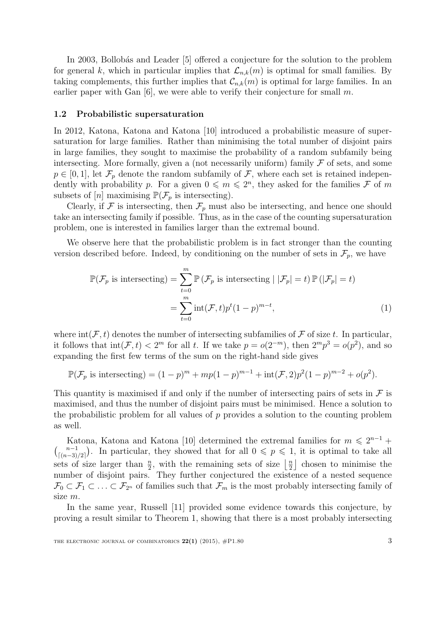In 2003, Bollobás and Leader [5] offered a conjecture for the solution to the problem for general k, which in particular implies that  $\mathcal{L}_{n,k}(m)$  is optimal for small families. By taking complements, this further implies that  $\mathcal{C}_{n,k}(m)$  is optimal for large families. In an earlier paper with Gan  $[6]$ , we were able to verify their conjecture for small m.

#### 1.2 Probabilistic supersaturation

In 2012, Katona, Katona and Katona [10] introduced a probabilistic measure of supersaturation for large families. Rather than minimising the total number of disjoint pairs in large families, they sought to maximise the probability of a random subfamily being intersecting. More formally, given a (not necessarily uniform) family  $\mathcal F$  of sets, and some  $p \in [0, 1]$ , let  $\mathcal{F}_p$  denote the random subfamily of  $\mathcal{F}$ , where each set is retained independently with probability p. For a given  $0 \leq m \leq 2^n$ , they asked for the families F of m subsets of  $[n]$  maximising  $\mathbb{P}(\mathcal{F}_p$  is intersecting).

Clearly, if  $\mathcal F$  is intersecting, then  $\mathcal F_p$  must also be intersecting, and hence one should take an intersecting family if possible. Thus, as in the case of the counting supersaturation problem, one is interested in families larger than the extremal bound.

We observe here that the probabilistic problem is in fact stronger than the counting version described before. Indeed, by conditioning on the number of sets in  $\mathcal{F}_p$ , we have

$$
\mathbb{P}(\mathcal{F}_p \text{ is intersecting}) = \sum_{t=0}^m \mathbb{P}(\mathcal{F}_p \text{ is intersecting } | |\mathcal{F}_p| = t) \mathbb{P}(|\mathcal{F}_p| = t)
$$

$$
= \sum_{t=0}^m \text{int}(\mathcal{F}, t) p^t (1 - p)^{m-t}, \tag{1}
$$

where  $\text{int}(\mathcal{F}, t)$  denotes the number of intersecting subfamilies of  $\mathcal F$  of size t. In particular, it follows that  $\text{int}(\mathcal{F}, t) < 2^m$  for all t. If we take  $p = o(2^{-m})$ , then  $2^m p^3 = o(p^2)$ , and so expanding the first few terms of the sum on the right-hand side gives

$$
\mathbb{P}(\mathcal{F}_p \text{ is intersecting}) = (1-p)^m + mp(1-p)^{m-1} + \text{int}(\mathcal{F}, 2)p^2(1-p)^{m-2} + o(p^2).
$$

This quantity is maximised if and only if the number of intersecting pairs of sets in  $\mathcal F$  is maximised, and thus the number of disjoint pairs must be minimised. Hence a solution to the probabilistic problem for all values of  $p$  provides a solution to the counting problem as well.

Katona, Katona and Katona [10] determined the extremal families for  $m \leq 2^{n-1}$  +  $\binom{n-1}{\lceil (n-2)\rceil}$  $\binom{n-1}{\lfloor (n-3)/2 \rfloor}$ . In particular, they showed that for all  $0 \leqslant p \leqslant 1$ , it is optimal to take all sets of size larger than  $\frac{n}{2}$ , with the remaining sets of size  $\frac{n}{2}$  $\frac{n}{2}$  chosen to minimise the number of disjoint pairs. They further conjectured the existence of a nested sequence  $\mathcal{F}_0 \subset \mathcal{F}_1 \subset \ldots \subset \mathcal{F}_{2^n}$  of families such that  $\mathcal{F}_m$  is the most probably intersecting family of size m.

In the same year, Russell [11] provided some evidence towards this conjecture, by proving a result similar to Theorem 1, showing that there is a most probably intersecting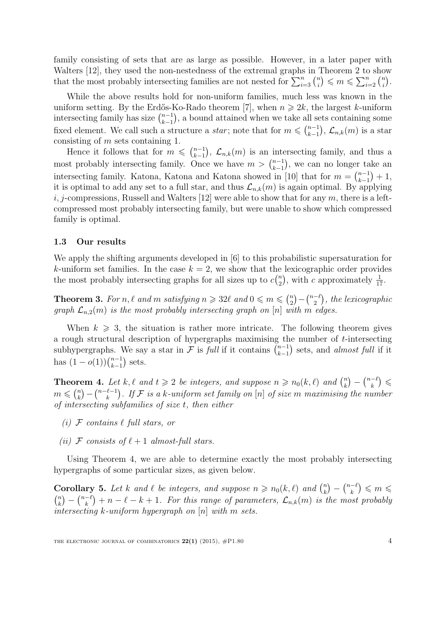family consisting of sets that are as large as possible. However, in a later paper with Walters [12], they used the non-nestedness of the extremal graphs in Theorem 2 to show that the most probably intersecting families are not nested for  $\sum_{i=3}^{n} \binom{n}{i}$  $\binom{n}{i} \leqslant m \leqslant \sum_{i=2}^n \binom{n}{i}$  $\binom{n}{i}$  .

While the above results hold for non-uniform families, much less was known in the uniform setting. By the Erdős-Ko-Rado theorem [7], when  $n \geq 2k$ , the largest k-uniform intersecting family has size  $\binom{n-1}{k-1}$  $_{k-1}^{n-1}$ , a bound attained when we take all sets containing some fixed element. We call such a structure a *star*; note that for  $m \leqslant {n-1 \choose k-1}$  $_{k-1}^{n-1}),\mathcal{L}_{n,k}(m)$  is a star consisting of m sets containing 1.

Hence it follows that for  $m \leqslant {n-1 \choose k-1}$  $\binom{n-1}{k-1}$ ,  $\mathcal{L}_{n,k}(m)$  is an intersecting family, and thus a most probably intersecting family. Once we have  $m > \binom{n-1}{k-1}$  $_{k-1}^{n-1}$ ), we can no longer take an intersecting family. Katona, Katona and Katona showed in [10] that for  $m = \binom{n-1}{k-1}$  $\binom{n-1}{k-1}+1,$ it is optimal to add any set to a full star, and thus  $\mathcal{L}_{n,k}(m)$  is again optimal. By applying i, j-compressions, Russell and Walters [12] were able to show that for any  $m$ , there is a leftcompressed most probably intersecting family, but were unable to show which compressed family is optimal.

#### 1.3 Our results

We apply the shifting arguments developed in [6] to this probabilistic supersaturation for k-uniform set families. In the case  $k = 2$ , we show that the lexicographic order provides the most probably intersecting graphs for all sizes up to  $c\binom{n}{2}$  $n \choose 2$ , with c approximately  $\frac{1}{17}$ .

**Theorem 3.** For n,  $\ell$  and m satisfying  $n \geq 32\ell$  and  $0 \leq m \leq \binom{n}{2}$  $\binom{n}{2} - \binom{n-\ell}{2}$  $\binom{-\ell}{2}$ , the lexicographic graph  $\mathcal{L}_{n,2}(m)$  is the most probably intersecting graph on [n] with m edges.

When  $k \geqslant 3$ , the situation is rather more intricate. The following theorem gives a rough structural description of hypergraphs maximising the number of t-intersecting subhypergraphs. We say a star in F is full if it contains  $\binom{n-1}{k-1}$  $_{k-1}^{n-1}$ ) sets, and *almost full* if it has  $(1-o(1))\binom{n-1}{k-1}$  $_{k-1}^{n-1}$  sets.

**Theorem 4.** Let k,  $\ell$  and  $t \geq 2$  be integers, and suppose  $n \geq n_0(k, \ell)$  and  $\binom{n}{k}$  $\binom{n}{k} - \binom{n-\ell}{k}$  $\binom{-\ell}{k} \leqslant$  $m \leqslant {n \choose k}$  $\binom{n}{k} - \binom{n-\ell-1}{k}$  $\binom{\ell-1}{k}$ . If  ${\mathcal F}$  is a k-uniform set family on  $[n]$  of size  $m$  maximising the number of intersecting subfamilies of size t, then either

- (i)  $\mathcal F$  contains  $\ell$  full stars, or
- (ii) F consists of  $\ell + 1$  almost-full stars.

Using Theorem 4, we are able to determine exactly the most probably intersecting hypergraphs of some particular sizes, as given below.

**Corollary 5.** Let k and  $\ell$  be integers, and suppose  $n \ge n_0(k, \ell)$  and  $\binom{n}{k}$  $\binom{n}{k} - \binom{n-\ell}{k}$  $\binom{-\ell}{k} \leqslant m \leqslant$  $\binom{n}{k}$  $\binom{n}{k} - \binom{n-\ell}{k}$  $\binom{-\ell}{k} + n - \ell - k + 1$ . For this range of parameters,  $\mathcal{L}_{n,k}(m)$  is the most probably intersecting  $k$ -uniform hypergraph on  $[n]$  with m sets.

THE ELECTRONIC JOURNAL OF COMBINATORICS  $22(1)$  (2015),  $\#P1.80$  4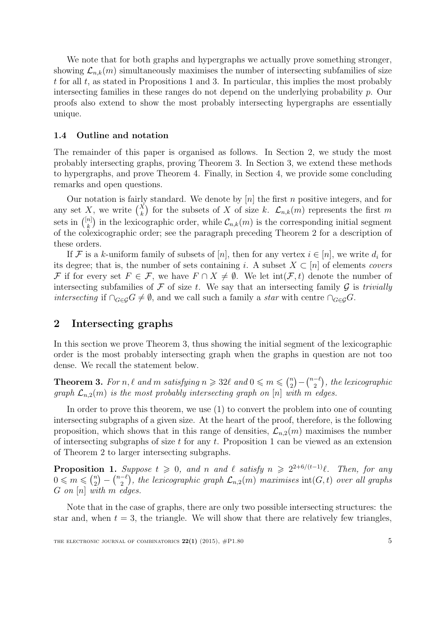We note that for both graphs and hypergraphs we actually prove something stronger, showing  $\mathcal{L}_{n,k}(m)$  simultaneously maximises the number of intersecting subfamilies of size t for all  $t$ , as stated in Propositions 1 and 3. In particular, this implies the most probably intersecting families in these ranges do not depend on the underlying probability p. Our proofs also extend to show the most probably intersecting hypergraphs are essentially unique.

#### 1.4 Outline and notation

The remainder of this paper is organised as follows. In Section 2, we study the most probably intersecting graphs, proving Theorem 3. In Section 3, we extend these methods to hypergraphs, and prove Theorem 4. Finally, in Section 4, we provide some concluding remarks and open questions.

Our notation is fairly standard. We denote by  $[n]$  the first n positive integers, and for any set X, we write  $\binom{X}{k}$  for the subsets of X of size k.  $\mathcal{L}_{n,k}(m)$  represents the first m sets in  $\binom{[n]}{k}$  $\binom{n}{k}$  in the lexicographic order, while  $\mathcal{C}_{n,k}(m)$  is the corresponding initial segment of the colexicographic order; see the paragraph preceding Theorem 2 for a description of these orders.

If F is a k-uniform family of subsets of  $[n]$ , then for any vertex  $i \in [n]$ , we write  $d_i$  for its degree; that is, the number of sets containing i. A subset  $X \subset [n]$  of elements covers F if for every set  $F \in \mathcal{F}$ , we have  $F \cap X \neq \emptyset$ . We let  $\text{int}(\mathcal{F}, t)$  denote the number of intersecting subfamilies of  $\mathcal F$  of size t. We say that an intersecting family  $\mathcal G$  is trivially *intersecting* if  $\cap_{G\in\mathcal{G}}G\neq\emptyset$ , and we call such a family a *star* with centre  $\cap_{G\in\mathcal{G}}G$ .

## 2 Intersecting graphs

In this section we prove Theorem 3, thus showing the initial segment of the lexicographic order is the most probably intersecting graph when the graphs in question are not too dense. We recall the statement below.

**Theorem 3.** For n,  $\ell$  and m satisfying  $n \geq 32\ell$  and  $0 \leq m \leq \binom{n}{2}$  $\binom{n}{2} - \binom{n-\ell}{2}$  $\binom{-\ell}{2}$ , the lexicographic graph  $\mathcal{L}_{n,2}(m)$  is the most probably intersecting graph on [n] with m edges.

In order to prove this theorem, we use (1) to convert the problem into one of counting intersecting subgraphs of a given size. At the heart of the proof, therefore, is the following proposition, which shows that in this range of densities,  $\mathcal{L}_{n,2}(m)$  maximises the number of intersecting subgraphs of size  $t$  for any  $t$ . Proposition 1 can be viewed as an extension of Theorem 2 to larger intersecting subgraphs.

**Proposition 1.** Suppose  $t \geq 0$ , and n and  $\ell$  satisfy  $n \geq 2^{2+6/(t-1)}\ell$ . Then, for any  $0 \leqslant m \leqslant {n \choose 2}$  $\binom{n}{2} - \binom{n-\ell}{2}$  $\mathcal{L}_{2}^{-\ell}$ ), the lexicographic graph  $\mathcal{L}_{n,2}(m)$  maximises  $\mathrm{int}(G,t)$  over all graphs  $G$  on  $[n]$  with  $m$  edges.

Note that in the case of graphs, there are only two possible intersecting structures: the star and, when  $t = 3$ , the triangle. We will show that there are relatively few triangles,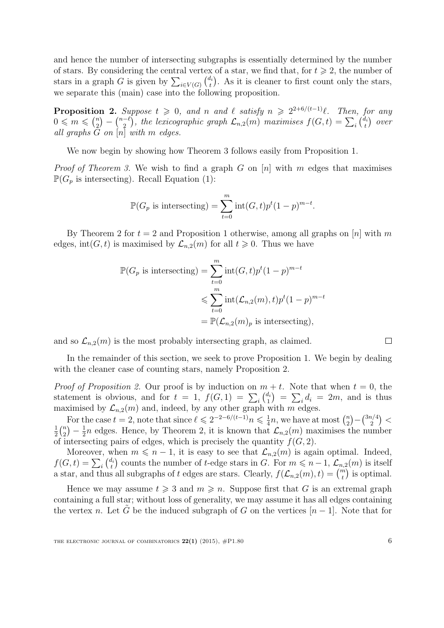and hence the number of intersecting subgraphs is essentially determined by the number of stars. By considering the central vertex of a star, we find that, for  $t \geq 2$ , the number of stars in a graph G is given by  $\sum_{i \in V(G)} \binom{d_i}{t}$  $t_t^{d_i}$ ). As it is cleaner to first count only the stars, we separate this (main) case into the following proposition.

**Proposition 2.** Suppose  $t \geq 0$ , and n and  $\ell$  satisfy  $n \geq 2^{2+6/(t-1)}\ell$ . Then, for any  $0 \leqslant m \leqslant {n \choose 2}$  $\binom{n}{2} - \binom{n-\ell}{2}$  $\binom{-\ell}{2},$  the lexicographic graph  $\mathcal{L}_{n,2}(m)$  maximises  $f(G,t)=\sum_i\binom{d_i}{t}$  $\binom{d_i}{t}$  over all graphs  $G$  on  $[n]$  with  $m$  edges.

We now begin by showing how Theorem 3 follows easily from Proposition 1.

*Proof of Theorem 3.* We wish to find a graph G on  $[n]$  with m edges that maximises  $\mathbb{P}(G_p \text{ is intersecting}).$  Recall Equation (1):

$$
\mathbb{P}(G_p \text{ is intersecting}) = \sum_{t=0}^{m} \text{int}(G, t) p^t (1-p)^{m-t}.
$$

By Theorem 2 for  $t = 2$  and Proposition 1 otherwise, among all graphs on [n] with m edges, int(G, t) is maximised by  $\mathcal{L}_{n,2}(m)$  for all  $t \geq 0$ . Thus we have

$$
\mathbb{P}(G_p \text{ is intersecting}) = \sum_{t=0}^{m} \text{int}(G, t)p^t (1-p)^{m-t}
$$
  

$$
\leqslant \sum_{t=0}^{m} \text{int}(\mathcal{L}_{n,2}(m), t)p^t (1-p)^{m-t}
$$
  

$$
= \mathbb{P}(\mathcal{L}_{n,2}(m)_p \text{ is intersecting}),
$$

and so  $\mathcal{L}_{n,2}(m)$  is the most probably intersecting graph, as claimed.

In the remainder of this section, we seek to prove Proposition 1. We begin by dealing with the cleaner case of counting stars, namely Proposition 2.

*Proof of Proposition 2.* Our proof is by induction on  $m + t$ . Note that when  $t = 0$ , the statement is obvious, and for  $t = 1$ ,  $f(G, 1) = \sum_i \binom{d_i}{1}$  $\binom{d_i}{1} = \sum_i d_i = 2m$ , and is thus maximised by  $\mathcal{L}_{n,2}(m)$  and, indeed, by any other graph with m edges.

For the case  $t = 2$ , note that since  $\ell \leq 2^{-2-6/(t-1)}n \leq \frac{1}{4}$  $\frac{1}{4}n$ , we have at most  $\binom{n}{2}$  $\binom{n}{2} - \binom{3n/4}{2}$  $\binom{n/4}{2}$  < 1  $\frac{1}{2}$  $\binom{n}{2}$  $\binom{n}{2} - \frac{1}{2}$  $\frac{1}{2}n$  edges. Hence, by Theorem 2, it is known that  $\mathcal{L}_{n,2}(m)$  maximises the number of intersecting pairs of edges, which is precisely the quantity  $f(G, 2)$ .

Moreover, when  $m \leq n - 1$ , it is easy to see that  $\mathcal{L}_{n,2}(m)$  is again optimal. Indeed,  $f(G, t) = \sum_i \binom{d_i}{t}$  $t_t^{l_i}$  counts the number of t-edge stars in G. For  $m \leqslant n-1$ ,  $\mathcal{L}_{n,2}(m)$  is itself a star, and thus all subgraphs of t edges are stars. Clearly,  $f(\mathcal{L}_{n,2}(m), t) = \binom{m}{t}$  is optimal.

Hence we may assume  $t \geq 3$  and  $m \geq n$ . Suppose first that G is an extremal graph containing a full star; without loss of generality, we may assume it has all edges containing the vertex n. Let G be the induced subgraph of G on the vertices  $[n-1]$ . Note that for

 $\Box$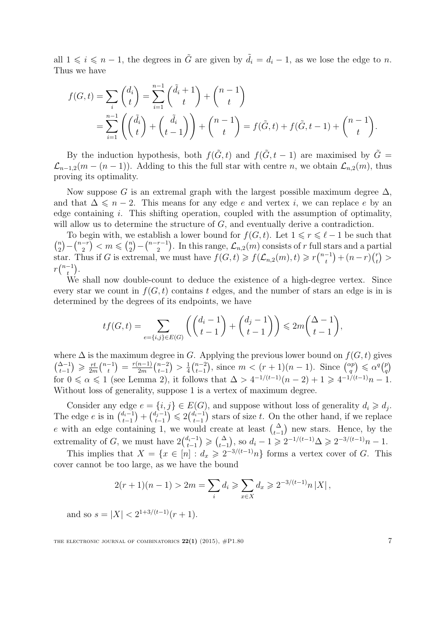all  $1 \leq i \leq n-1$ , the degrees in  $\tilde{G}$  are given by  $\tilde{d}_i = d_i - 1$ , as we lose the edge to n. Thus we have

$$
f(G,t) = \sum_{i} {d_i \choose t} = \sum_{i=1}^{n-1} {(\tilde{d}_i + 1) \choose t} + {n-1 \choose t}
$$
  
= 
$$
\sum_{i=1}^{n-1} ((\tilde{d}_i) + (\tilde{d}_i) + {n-1 \choose t} + {n-1 \choose t} = f(\tilde{G},t) + f(\tilde{G},t-1) + {n-1 \choose t}.
$$

By the induction hypothesis, both  $f(\tilde{G}, t)$  and  $f(\tilde{G}, t - 1)$  are maximised by  $\tilde{G} =$  $\mathcal{L}_{n-1,2}(m-(n-1))$ . Adding to this the full star with centre n, we obtain  $\mathcal{L}_{n,2}(m)$ , thus proving its optimality.

Now suppose G is an extremal graph with the largest possible maximum degree  $\Delta$ , and that  $\Delta \leq n-2$ . This means for any edge e and vertex i, we can replace e by an edge containing  $i$ . This shifting operation, coupled with the assumption of optimality, will allow us to determine the structure of G, and eventually derive a contradiction.

To begin with, we establish a lower bound for  $f(G, t)$ . Let  $1 \leq r \leq \ell - 1$  be such that  $\binom{n}{2}$  $\binom{n}{2} - \binom{n-r}{2}$  $\binom{-r}{2} < m \leqslant \binom{n}{2}$  $\binom{n}{2} - \binom{n-r-1}{2}$  $\binom{r-1}{2}$ . In this range,  $\mathcal{L}_{n,2}(m)$  consists of r full stars and a partial star. Thus if G is extremal, we must have  $f(G,t) \geq f(\mathcal{L}_{n,2}(m),t) \geq r{n-1 \choose t}$  $\binom{-1}{t} + (n-r)\binom{r}{t}$  $\binom{r}{t}$  >  $r\binom{n-1}{t}$  $\binom{-1}{t}$ .

We shall now double-count to deduce the existence of a high-degree vertex. Since every star we count in  $f(G, t)$  contains t edges, and the number of stars an edge is in is determined by the degrees of its endpoints, we have

$$
tf(G,t) = \sum_{e=\{i,j\}\in E(G)} \left( \binom{d_i-1}{t-1} + \binom{d_j-1}{t-1} \right) \leq 2m \binom{\Delta-1}{t-1},
$$

where  $\Delta$  is the maximum degree in G. Applying the previous lower bound on  $f(G, t)$  gives  $\binom{\Delta-1}{t-1}$  ≥  $\frac{rt}{2n}$  $\frac{rt}{2m}\binom{n-1}{t}$  $\binom{-1}{t} = \frac{r(n-1)}{2m}$  $\frac{n-1)}{2m}\binom{n-2}{t-1}$  $_{t-1}^{n-2}) > \frac{1}{4}$  $rac{1}{4} \binom{n-2}{t-1}$  $\binom{n-2}{t-1}$ , since  $m < (r+1)(n-1)$ . Since  $\binom{\alpha p}{q}$  $\binom{xp}{q} \leqslant \alpha^q \binom{p}{q}$  $\binom{p}{q}$ for  $0 \le \alpha \le 1$  (see Lemma 2), it follows that  $\Delta > 4^{-1/(t-1)}(n-2) + 1 \ge 4^{-1/(t-1)}n - 1$ . Without loss of generality, suppose 1 is a vertex of maximum degree.

Consider any edge  $e = \{i, j\} \in E(G)$ , and suppose without loss of generality  $d_i \geq d_j$ . The edge e is in  $\binom{d_i-1}{t-1}$  $\binom{d_i-1}{t-1} + \binom{d_j-1}{t-1}$  $\binom{d_i-1}{t-1} \leq 2\binom{d_i-1}{t-1}$  $t_{t-1}^{t_i-1}$  stars of size t. On the other hand, if we replace e with an edge containing 1, we would create at least  $\begin{pmatrix} \Delta \\ t-1 \end{pmatrix}$  new stars. Hence, by the extremality of G, we must have  $2\binom{d_i-1}{t-1}$  $t_{t-1}^{l_i-1}$   $\geqslant$   $\binom{\Delta}{t-1}$ , so  $d_i - 1 \geqslant 2^{-1/(t-1)}\Delta \geqslant 2^{-3/(t-1)}n - 1$ .

This implies that  $X = \{x \in [n] : d_x \geq 2^{-3/(t-1)}n\}$  forms a vertex cover of G. This cover cannot be too large, as we have the bound

$$
2(r+1)(n-1) > 2m = \sum_{i} d_i \geqslant \sum_{x \in X} d_x \geqslant 2^{-3/(t-1)}n |X|,
$$

and so  $s = |X| < 2^{1+3/(t-1)}(r+1)$ .

THE ELECTRONIC JOURNAL OF COMBINATORICS  $22(1)$  (2015),  $\#P1.80$  7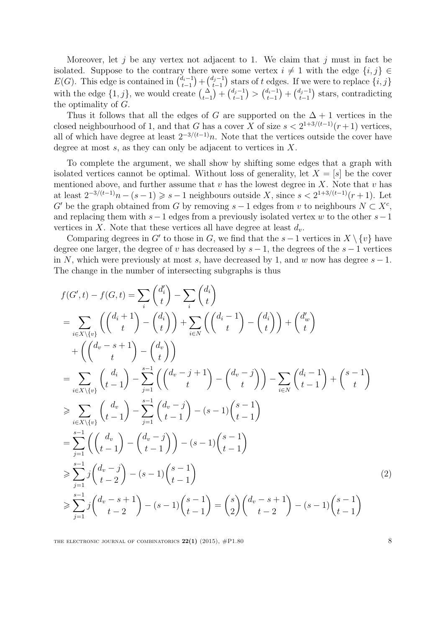Moreover, let j be any vertex not adjacent to 1. We claim that j must in fact be isolated. Suppose to the contrary there were some vertex  $i \neq 1$  with the edge  $\{i, j\} \in$  $E(G)$ . This edge is contained in  $\binom{d_i-1}{t-1}$  $\binom{d_i-1}{t-1} + \binom{d_j-1}{t-1}$  $(t_{t-1}^{i_j-1})$  stars of t edges. If we were to replace  $\{i, j\}$ with the edge  $\{1, j\}$ , we would create  $\binom{\Delta}{t-1} + \binom{d_j-1}{t-1}$  $\binom{d_i-1}{t-1} > \binom{d_i-1}{t-1}$  $\binom{d_i-1}{t-1} + \binom{d_j-1}{t-1}$  $_{t-1}^{t_j-1}$ ) stars, contradicting the optimality of G.

Thus it follows that all the edges of G are supported on the  $\Delta + 1$  vertices in the closed neighbourhood of 1, and that G has a cover X of size  $s < 2^{1+3/(t-1)}(r+1)$  vertices, all of which have degree at least  $2^{-3/(t-1)}n$ . Note that the vertices outside the cover have degree at most  $s$ , as they can only be adjacent to vertices in  $X$ .

To complete the argument, we shall show by shifting some edges that a graph with isolated vertices cannot be optimal. Without loss of generality, let  $X = [s]$  be the cover mentioned above, and further assume that  $v$  has the lowest degree in  $X$ . Note that  $v$  has at least  $2^{-3/(t-1)}n - (s-1) \geq s-1$  neighbours outside X, since  $s < 2^{1+3/(t-1)}(r+1)$ . Let G' be the graph obtained from G by removing  $s-1$  edges from v to neighbours  $N \subset X^c$ , and replacing them with  $s-1$  edges from a previously isolated vertex w to the other  $s-1$ vertices in X. Note that these vertices all have degree at least  $d_v$ .

Comparing degrees in G' to those in G, we find that the  $s-1$  vertices in  $X \setminus \{v\}$  have degree one larger, the degree of v has decreased by  $s-1$ , the degrees of the  $s-1$  vertices in N, which were previously at most s, have decreased by 1, and w now has degree  $s - 1$ . The change in the number of intersecting subgraphs is thus

$$
f(G',t) - f(G,t) = \sum_{i} {d'_{i} \choose t} - \sum_{i} {d_{i} \choose t}
$$
  
\n
$$
= \sum_{i \in X \setminus \{v\}} \left( {d_{i} + 1 \choose t} - {d_{i} \choose t} \right) + \sum_{i \in N} \left( {d_{i} - 1 \choose t} - {d_{i} \choose t} \right) + {d'_{w} \choose t}
$$
  
\n
$$
+ \left( {d_{v} - s + 1 \choose t} - {d_{v} \choose t} \right)
$$
  
\n
$$
= \sum_{i \in X \setminus \{v\}} \left( {d_{i} \choose t-1} - \sum_{j=1}^{s-1} \left( {d_{v} - j + 1 \choose t} - {d_{v} - j \choose t} \right) - \sum_{i \in N} {d_{i} - 1 \choose t-1} + {s-1 \choose t}
$$
  
\n
$$
\geq \sum_{i \in X \setminus \{v\}} \left( {d_{v} \choose t-1} - \sum_{j=1}^{s-1} {d_{v} - j \choose t-1} - (s-1){s-1 \choose t-1}
$$
  
\n
$$
= \sum_{j=1}^{s-1} \left( {d_{v} \choose t-1} - {d_{v} - j \choose t-1} \right) - (s-1){s-1 \choose t-1}
$$
  
\n
$$
\geq \sum_{j=1}^{s-1} j {d_{v} - j \choose t-2} - (s-1){s-1 \choose t-1}
$$
  
\n
$$
\geq \sum_{j=1}^{s-1} j {d_{v} - s + 1 \choose t-2} - (s-1){s-1 \choose t-1} = {s \choose 2} {d_{v} - s + 1 \choose t-2} - (s-1){s-1 \choose t-1}
$$
  
\n(2)

THE ELECTRONIC JOURNAL OF COMBINATORICS  $22(1)$  (2015),  $\#P1.80$  8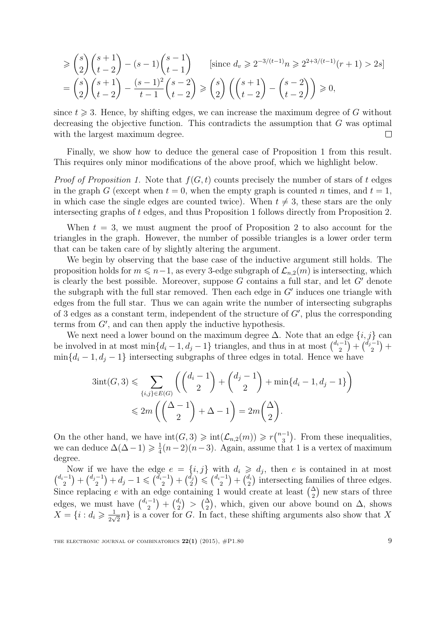$$
\geq {s \choose 2} {s+1 \choose t-2} - (s-1){s-1 \choose t-1} \quad \text{[since } d_v \geq 2^{-3/(t-1)}n \geq 2^{2+3/(t-1)}(r+1) > 2s\text{]}
$$
\n
$$
= {s \choose 2} {s+1 \choose t-2} - \frac{(s-1)^2}{t-1} {s-2 \choose t-2} \geq {s \choose 2} \left( {s+1 \choose t-2} - {s-2 \choose t-2} \right) \geq 0,
$$

since  $t \geqslant 3$ . Hence, by shifting edges, we can increase the maximum degree of G without decreasing the objective function. This contradicts the assumption that G was optimal with the largest maximum degree.  $\Box$ 

Finally, we show how to deduce the general case of Proposition 1 from this result. This requires only minor modifications of the above proof, which we highlight below.

*Proof of Proposition 1.* Note that  $f(G, t)$  counts precisely the number of stars of t edges in the graph G (except when  $t = 0$ , when the empty graph is counted n times, and  $t = 1$ , in which case the single edges are counted twice). When  $t \neq 3$ , these stars are the only intersecting graphs of t edges, and thus Proposition 1 follows directly from Proposition 2.

When  $t = 3$ , we must augment the proof of Proposition 2 to also account for the triangles in the graph. However, the number of possible triangles is a lower order term that can be taken care of by slightly altering the argument.

We begin by observing that the base case of the inductive argument still holds. The proposition holds for  $m \leq n-1$ , as every 3-edge subgraph of  $\mathcal{L}_{n,2}(m)$  is intersecting, which is clearly the best possible. Moreover, suppose  $G$  contains a full star, and let  $G'$  denote the subgraph with the full star removed. Then each edge in  $G'$  induces one triangle with edges from the full star. Thus we can again write the number of intersecting subgraphs of 3 edges as a constant term, independent of the structure of  $G'$ , plus the corresponding terms from  $G'$ , and can then apply the inductive hypothesis.

We next need a lower bound on the maximum degree  $\Delta$ . Note that an edge  $\{i, j\}$  can be involved in at most min $\{d_i - 1, d_j - 1\}$  triangles, and thus in at most  $\binom{d_i-1}{2}$  $\binom{(-1)}{2} + \binom{d_j-1}{2}$  $\binom{-1}{2} +$  $\min\{d_i-1, d_j-1\}$  intersecting subgraphs of three edges in total. Hence we have

$$
3\mathrm{int}(G,3) \leqslant \sum_{\{i,j\} \in E(G)} \left( \binom{d_i-1}{2} + \binom{d_j-1}{2} + \min\{d_i-1,d_j-1\} \right) \leqslant 2m \left( \binom{\Delta-1}{2} + \Delta - 1 \right) = 2m \binom{\Delta}{2}.
$$

On the other hand, we have  $\text{int}(G,3) \geq \text{int}(\mathcal{L}_{n,2}(m)) \geqslant r\binom{n-1}{3}$  $\binom{-1}{3}$ . From these inequalities, we can deduce  $\Delta(\Delta - 1) \geq \frac{1}{4}$  $\frac{1}{4}(n-2)(n-3)$ . Again, assume that 1 is a vertex of maximum degree.

Now if we have the edge  $e = \{i, j\}$  with  $d_i \geq d_j$ , then e is contained in at most  $\binom{d_i-1}{2}$  $\binom{-1}{2} + \binom{d_j-1}{2}$  $\binom{-1}{2} + d_j - 1 \leqslant \binom{d_i - 1}{2}$  $\binom{-1}{2} + \binom{d_j}{2}$  $\binom{\tilde{d}_j}{2} \leqslant \binom{d_i-1}{2}$  $\binom{-1}{2}+\binom{d_i}{2}$  $\binom{d_i}{2}$  intersecting families of three edges. Since replacing e with an edge containing 1 would create at least  $\binom{\Delta}{2}$  new stars of three edges, we must have  $\binom{d_i-1}{2} + \binom{d_i}{3} > \binom{\Delta}{2}$ , which, given our above  $\binom{-1}{2}$  +  $\binom{d_i}{2}$  $\binom{d_i}{2}$  >  $\binom{\Delta}{2}$ , which, given our above bound on  $\Delta$ , shows  $X = \{i : d_i \geqslant \frac{1}{2\sqrt{d_i}}\}$  $\frac{1}{2\sqrt{2}}n$  is a cover for G. In fact, these shifting arguments also show that X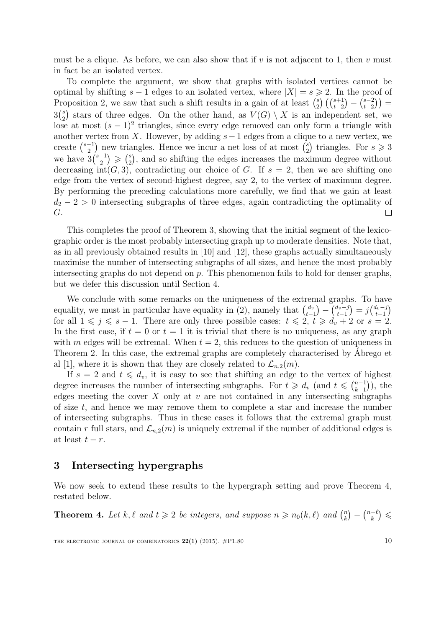must be a clique. As before, we can also show that if v is not adjacent to 1, then v must in fact be an isolated vertex.

To complete the argument, we show that graphs with isolated vertices cannot be optimal by shifting  $s - 1$  edges to an isolated vertex, where  $|X| = s \geq 2$ . In the proof of Proposition 2, we saw that such a shift results in a gain of at least  $\binom{s}{2}$  $\binom{s}{2}\left(\binom{s+1}{t-2} - \binom{s-2}{t-2}\right)$  $_{t-2}^{s-2})$ ) =  $3\binom{s}{2}$ <sup>2</sup>/<sub>2</sub>) stars of three edges. On the other hand, as  $V(G) \setminus X$  is an independent set, we lose at most  $(s-1)^2$  triangles, since every edge removed can only form a triangle with another vertex from X. However, by adding  $s-1$  edges from a clique to a new vertex, we  $_2^s$ ) triangles. For  $s \geqslant 3$ create  $\binom{s-1}{2}$  $\binom{-1}{2}$  new triangles. Hence we incur a net loss of at most  $\binom{s}{2}$ we have  $3\binom{s-1}{2}$  $\binom{-1}{2} \geqslant \binom{s}{2}$  $_{2}^{s}$ ), and so shifting the edges increases the maximum degree without decreasing  $int(G, 3)$ , contradicting our choice of G. If  $s = 2$ , then we are shifting one edge from the vertex of second-highest degree, say 2, to the vertex of maximum degree. By performing the preceding calculations more carefully, we find that we gain at least  $d_2 - 2 > 0$  intersecting subgraphs of three edges, again contradicting the optimality of G.  $\Box$ 

This completes the proof of Theorem 3, showing that the initial segment of the lexicographic order is the most probably intersecting graph up to moderate densities. Note that, as in all previously obtained results in [10] and [12], these graphs actually simultaneously maximise the number of intersecting subgraphs of all sizes, and hence the most probably intersecting graphs do not depend on  $p$ . This phenomenon fails to hold for denser graphs, but we defer this discussion until Section 4.

We conclude with some remarks on the uniqueness of the extremal graphs. To have equality, we must in particular have equality in (2), namely that  $\int_{t-}^{d_v}$  $\binom{d_v}{t-1} - \binom{d_v-j}{t-1}$  $\binom{d_v-j}{t-1} = j \binom{d_v-j}{t-1}$  $\binom{t_v-j}{t-1}$ for all  $1 \leq j \leq s - 1$ . There are only three possible cases:  $t \leq 2$ ,  $t \geq d_v + 2$  or  $s = 2$ . In the first case, if  $t = 0$  or  $t = 1$  it is trivial that there is no uniqueness, as any graph with m edges will be extremal. When  $t = 2$ , this reduces to the question of uniqueness in Theorem 2. In this case, the extremal graphs are completely characterised by Abrego et al [1], where it is shown that they are closely related to  $\mathcal{L}_{n,2}(m)$ .

If  $s = 2$  and  $t \leq d_v$ , it is easy to see that shifting an edge to the vertex of highest degree increases the number of intersecting subgraphs. For  $t \geq d_v$  (and  $t \leq \binom{n-1}{k-1}$ )  $_{k-1}^{n-1}$ ), the edges meeting the cover  $X$  only at  $v$  are not contained in any intersecting subgraphs of size t, and hence we may remove them to complete a star and increase the number of intersecting subgraphs. Thus in these cases it follows that the extremal graph must contain r full stars, and  $\mathcal{L}_{n,2}(m)$  is uniquely extremal if the number of additional edges is at least  $t - r$ .

## 3 Intersecting hypergraphs

We now seek to extend these results to the hypergraph setting and prove Theorem 4, restated below.

**Theorem 4.** Let k,  $\ell$  and  $t \geq 2$  be integers, and suppose  $n \geq n_0(k, \ell)$  and  $\binom{n}{k}$  $\binom{n}{k} - \binom{n-\ell}{k}$  $\binom{-\ell}{k} \leqslant$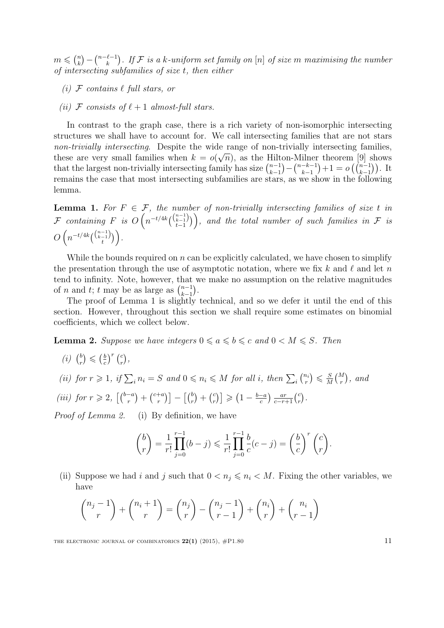$m \leqslant {n \choose k}$  $\binom{n}{k} - \binom{n-\ell-1}{k}$  $\binom{\ell-1}{k}$ . If  ${\mathcal F}$  is a k-uniform set family on  $[n]$  of size  $m$  maximising the number of intersecting subfamilies of size  $t$ , then either

- (i)  $\mathcal F$  contains  $\ell$  full stars, or
- (ii) F consists of  $\ell + 1$  almost-full stars.

In contrast to the graph case, there is a rich variety of non-isomorphic intersecting structures we shall have to account for. We call intersecting families that are not stars non-trivially intersecting. Despite the wide range of non-trivially intersecting families, these are very small families when  $k = o(\sqrt{n})$ , as the Hilton-Milner theorem [9] shows that the largest non-trivially intersecting family has size  $\binom{n-1}{k-1}$  $\binom{n-1}{k-1} - \binom{n-k-1}{k-1}$  $\binom{-k-1}{k-1}+1 = o\left(\binom{n-1}{k-1}\right).$  It remains the case that most intersecting subfamilies are stars, as we show in the following lemma.

**Lemma 1.** For  $F \in \mathcal{F}$ , the number of non-trivially intersecting families of size t in  ${\cal F}$  containing  $F$  is  $O\left(n^{-t/4k} \binom{\binom{n-1}{k-1}}{t-1}\right)$ , and the total number of such families in  ${\cal F}$  is  $O\left(n^{-t/4k}\binom{\binom{n-1}{k-1}}{t}\right)$  .

While the bounds required on  $n$  can be explicitly calculated, we have chosen to simplify the presentation through the use of asymptotic notation, where we fix k and  $\ell$  and let n tend to infinity. Note, however, that we make no assumption on the relative magnitudes of *n* and *t*; *t* may be as large as  $\binom{n-1}{k-1}$  $_{k-1}^{n-1}$ ).

The proof of Lemma 1 is slightly technical, and so we defer it until the end of this section. However, throughout this section we shall require some estimates on binomial coefficients, which we collect below.

**Lemma 2.** Suppose we have integers  $0 \le a \le b \le c$  and  $0 \le M \le S$ . Then

 $(i)$   $\binom{b}{r}$  $\binom{b}{r} \leqslant \left(\frac{b}{c}\right)$  $\left(\frac{b}{c}\right)^r\left(\frac{c}{r}\right)$  $\binom{c}{r}$ 

(ii) for 
$$
r \ge 1
$$
, if  $\sum_i n_i = S$  and  $0 \le n_i \le M$  for all *i*, then  $\sum_i {n_i \choose r} \le \frac{S}{M} {M \choose r}$ , and

(*iii*) for  $r \ge 2$ ,  $\left[ \binom{b-a}{r} + \binom{c+a}{r} \right]$  $\left[\begin{smallmatrix} +a \ r \end{smallmatrix}\right] - \left[\begin{smallmatrix} b \ r \end{smallmatrix}\right] + \left[\begin{smallmatrix} c \ r \end{smallmatrix}\right]$  $\binom{c}{r}$   $\geqslant$   $\left(1 - \frac{b-a}{c}\right)$  $\frac{(-a)}{c}$   $\frac{ar}{c-r+1}$   $\binom{c}{r}$  $\binom{c}{r}$  .

Proof of Lemma 2. (i) By definition, we have

$$
\binom{b}{r} = \frac{1}{r!} \prod_{j=0}^{r-1} (b-j) \leq \frac{1}{r!} \prod_{j=0}^{r-1} \frac{b}{c} (c-j) = \left(\frac{b}{c}\right)^r \binom{c}{r}.
$$

(ii) Suppose we had i and j such that  $0 < n_j \leq n_i < M$ . Fixing the other variables, we have

$$
\binom{n_j-1}{r} + \binom{n_i+1}{r} = \binom{n_j}{r} - \binom{n_j-1}{r-1} + \binom{n_i}{r} + \binom{n_i}{r-1}
$$

THE ELECTRONIC JOURNAL OF COMBINATORICS  $22(1)$  (2015),  $\#P1.80$  11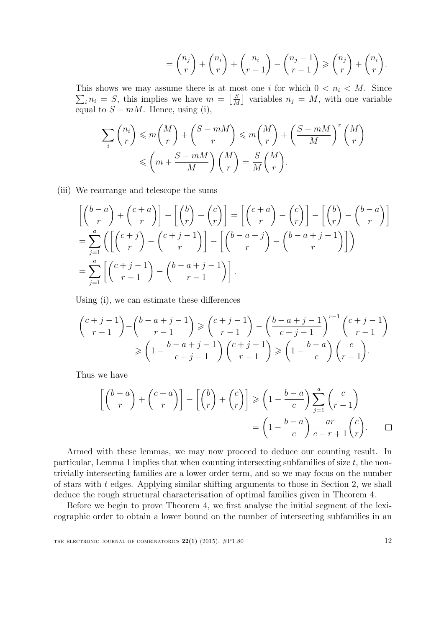$$
= \binom{n_j}{r} + \binom{n_i}{r} + \binom{n_i}{r-1} - \binom{n_j-1}{r-1} \ge \binom{n_j}{r} + \binom{n_i}{r}.
$$

This shows we may assume there is at most one i for which  $0 < n_i < M$ . Since  $\sum_i n_i = S$ , this implies we have  $m = \left\lfloor \frac{S}{M} \right\rfloor$  $\left[\frac{S}{M}\right]$  variables  $n_j = M$ , with one variable equal to  $S - mM$ . Hence, using (i),

$$
\sum_{i} {n_i \choose r} \leq m {M \choose r} + {S - mM \choose r} \leq m {M \choose r} + \left(\frac{S - mM}{M}\right)^r {M \choose r}
$$

$$
\leq m + \frac{S - mM}{M} {M \choose r} = \frac{S}{M} {M \choose r}.
$$

(iii) We rearrange and telescope the sums

$$
\begin{aligned}\n\left[ \binom{b-a}{r} + \binom{c+a}{r} \right] - \left[ \binom{b}{r} + \binom{c}{r} \right] &= \left[ \binom{c+a}{r} - \binom{c}{r} \right] - \left[ \binom{b}{r} - \binom{b-a}{r} \right] \\
&= \sum_{j=1}^{a} \left( \left[ \binom{c+j}{r} - \binom{c+j-1}{r} \right] - \left[ \binom{b-a+j}{r} - \binom{b-a+j-1}{r} \right] \right) \\
&= \sum_{j=1}^{a} \left[ \binom{c+j-1}{r-1} - \binom{b-a+j-1}{r-1} \right].\n\end{aligned}
$$

Using (i), we can estimate these differences

$$
\binom{c+j-1}{r-1} - \binom{b-a+j-1}{r-1} \ge \binom{c+j-1}{r-1} - \binom{b-a+j-1}{c+j-1}^{r-1} \binom{c+j-1}{r-1}
$$

$$
\ge \left(1 - \frac{b-a+j-1}{c+j-1}\right) \binom{c+j-1}{r-1} \ge \left(1 - \frac{b-a}{c}\right) \binom{c}{r-1}.
$$

Thus we have

$$
\begin{bmatrix} \binom{b-a}{r} + \binom{c+a}{r} \end{bmatrix} - \begin{bmatrix} \binom{b}{r} + \binom{c}{r} \end{bmatrix} \ge \left(1 - \frac{b-a}{c}\right) \sum_{j=1}^{a} \binom{c}{r-1}
$$

$$
= \left(1 - \frac{b-a}{c}\right) \frac{ar}{c-r+1} \binom{c}{r}.
$$

Armed with these lemmas, we may now proceed to deduce our counting result. In particular, Lemma 1 implies that when counting intersecting subfamilies of size  $t$ , the nontrivially intersecting families are a lower order term, and so we may focus on the number of stars with t edges. Applying similar shifting arguments to those in Section 2, we shall deduce the rough structural characterisation of optimal families given in Theorem 4.

Before we begin to prove Theorem 4, we first analyse the initial segment of the lexicographic order to obtain a lower bound on the number of intersecting subfamilies in an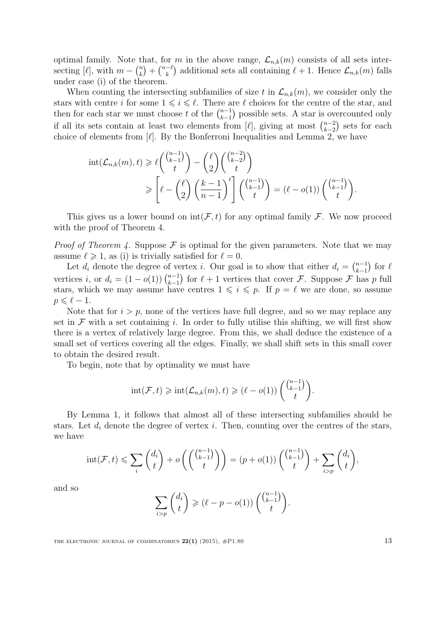optimal family. Note that, for m in the above range,  $\mathcal{L}_{n,k}(m)$  consists of all sets intersecting [ $\ell$ ], with  $m - \binom{n}{k}$  $\binom{n}{k} + \binom{n-\ell}{k}$  $\binom{-\ell}{k}$  additional sets all containing  $\ell + 1$ . Hence  $\mathcal{L}_{n,k}(m)$  falls under case (i) of the theorem.

When counting the intersecting subfamilies of size t in  $\mathcal{L}_{n,k}(m)$ , we consider only the stars with centre i for some  $1 \leq i \leq \ell$ . There are  $\ell$  choices for the centre of the star, and then for each star we must choose t of the  $\binom{n-1}{k-1}$  $_{k-1}^{n-1}$ ) possible sets. A star is overcounted only if all its sets contain at least two elements from [ $\ell$ ], giving at most  $\binom{n-2}{k-2}$  $_{k-2}^{n-2}$  sets for each choice of elements from  $[\ell]$ . By the Bonferroni Inequalities and Lemma 2, we have

$$
\text{int}(\mathcal{L}_{n,k}(m),t) \geq \ell \binom{\binom{n-1}{k-1}}{t} - \binom{\ell}{2} \binom{\binom{n-2}{k-2}}{t}
$$
\n
$$
\geq \left[ \ell - \binom{\ell}{2} \left( \frac{k-1}{n-1} \right)^t \right] \binom{\binom{n-1}{k-1}}{t} = (\ell - o(1)) \binom{\binom{n-1}{k-1}}{t}.
$$

This gives us a lower bound on  $int(\mathcal{F}, t)$  for any optimal family  $\mathcal{F}$ . We now proceed with the proof of Theorem 4.

*Proof of Theorem 4.* Suppose  $\mathcal F$  is optimal for the given parameters. Note that we may assume  $\ell \geq 1$ , as (i) is trivially satisfied for  $\ell = 0$ .

Let  $d_i$  denote the degree of vertex i. Our goal is to show that either  $d_i = \binom{n-1}{k-1}$  $\binom{n-1}{k-1}$  for  $\ell$ vertices *i*, or  $d_i = (1 - o(1)) \binom{n-1}{k-1}$  $_{k-1}^{n-1}$  for  $\ell + 1$  vertices that cover  $\mathcal{F}$ . Suppose  $\mathcal{F}$  has p full stars, which we may assume have centres  $1 \leq i \leq p$ . If  $p = \ell$  we are done, so assume  $p \leqslant \ell - 1$ .

Note that for  $i > p$ , none of the vertices have full degree, and so we may replace any set in  $\mathcal F$  with a set containing i. In order to fully utilise this shifting, we will first show there is a vertex of relatively large degree. From this, we shall deduce the existence of a small set of vertices covering all the edges. Finally, we shall shift sets in this small cover to obtain the desired result.

To begin, note that by optimality we must have

$$
int(\mathcal{F},t) \geqslant int(\mathcal{L}_{n,k}(m),t) \geqslant (\ell-o(1))\left(\binom{\binom{n-1}{k-1}}{t}\right).
$$

By Lemma 1, it follows that almost all of these intersecting subfamilies should be stars. Let  $d_i$  denote the degree of vertex i. Then, counting over the centres of the stars, we have

$$
int(\mathcal{F}, t) \leqslant \sum_{i} {d_i \choose t} + o\left({{n-1 \choose k-1} \choose t}\right) = (p + o(1))\left({{n-1 \choose k-1} \choose t} + \sum_{i > p} {d_i \choose t},\right)
$$

and so

$$
\sum_{i>p} \binom{d_i}{t} \geqslant (\ell - p - o(1)) \binom{\binom{n-1}{k-1}}{t}.
$$

THE ELECTRONIC JOURNAL OF COMBINATORICS  $22(1)$  (2015),  $\#P1.80$  13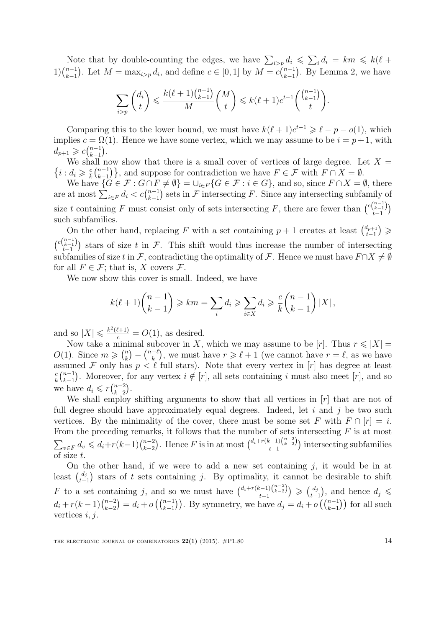Note that by double-counting the edges, we have  $\sum_{i>p} d_i \leq \sum_i d_i = km \leq k(\ell +$  $1)$  $\binom{n-1}{k-1}$  $_{k-1}^{n-1}$ ). Let  $M = \max_{i>p} d_i$ , and define  $c \in [0,1]$  by  $M = c \binom{n-1}{k-1}$  $_{k-1}^{n-1}$ ). By Lemma 2, we have

$$
\sum_{i>p} \binom{d_i}{t} \leqslant \frac{k(\ell+1)\binom{n-1}{k-1}}{M} \binom{M}{t} \leqslant k(\ell+1)c^{t-1} \binom{\binom{n-1}{k-1}}{t}.
$$

Comparing this to the lower bound, we must have  $k(\ell + 1)c^{t-1} \geq \ell - p - o(1)$ , which implies  $c = \Omega(1)$ . Hence we have some vertex, which we may assume to be  $i = p + 1$ , with  $d_{p+1} \geqslant c \binom{n-1}{k-1}$  $_{k-1}^{n-1}$ ).

We shall now show that there is a small cover of vertices of large degree. Let  $X =$  $\{i : d_i \geqslant \frac{c}{k}\}\$  $\frac{c}{k} \binom{n-1}{k-1}$  ${k-1 \choose k-1}$ , and suppose for contradiction we have  $F \in \mathcal{F}$  with  $F \cap X = \emptyset$ .

We have  $\{G \in \mathcal{F} : G \cap F \neq \emptyset\} = \bigcup_{i \in F} \{G \in \mathcal{F} : i \in G\}$ , and so, since  $F \cap X = \emptyset$ , there are at most  $\sum_{i \in F} d_i < c \binom{n-1}{k-1}$  $_{k-1}^{n-1}$ ) sets in F intersecting F. Since any intersecting subfamily of size t containing F must consist only of sets intersecting F, there are fewer than  $\binom{c\binom{n-1}{t-1}}{t-1}$ such subfamilies.

On the other hand, replacing F with a set containing  $p + 1$  creates at least  $\binom{d_{p+1}}{d_{p+1}}$  $_{t-1}^{d_{p+1}}) \geqslant$  $\binom{c\binom{n-1}{k-1}}{t-1}$  stars of size t in F. This shift would thus increase the number of intersecting subfamilies of size t in F, contradicting the optimality of F. Hence we must have  $F \cap X \neq \emptyset$ for all  $F \in \mathcal{F}$ ; that is, X covers  $\mathcal{F}$ .

We now show this cover is small. Indeed, we have

$$
k(\ell+1)\binom{n-1}{k-1} \geqslant km = \sum_{i} d_i \geqslant \sum_{i \in X} d_i \geqslant \frac{c}{k} \binom{n-1}{k-1} |X|,
$$

and so  $|X| \leq \frac{k^2(\ell+1)}{c} = O(1)$ , as desired.

Now take a minimal subcover in X, which we may assume to be  $[r]$ . Thus  $r \leq |X| =$  $O(1)$ . Since  $m \geqslant {n \choose k}$  $\binom{n}{k} - \binom{n-\ell}{k}$  $\binom{-\ell}{k}$ , we must have  $r \geq \ell + 1$  (we cannot have  $r = \ell$ , as we have assumed F only has  $p \leq \ell$  full stars). Note that every vertex in [r] has degree at least c  $\frac{c}{k} \binom{n-1}{k-1}$  $_{k-1}^{n-1}$ ). Moreover, for any vertex  $i \notin [r]$ , all sets containing i must also meet  $[r]$ , and so we have  $d_i \leqslant r \binom{n-2}{k-2}$  $_{k-2}^{n-2}$ ).

We shall employ shifting arguments to show that all vertices in  $[r]$  that are not of full degree should have approximately equal degrees. Indeed, let  $i$  and  $j$  be two such vertices. By the minimality of the cover, there must be some set F with  $F \cap [r] = i$ . From the preceding remarks, it follows that the number of sets intersecting  $F$  is at most  $\sum_{v \in F} d_v \leq d_i + r(k-1) \binom{n-2}{k-2}$  $_{k-2}^{n-2}$ ). Hence F is in at most  $\binom{d_i+r(k-1)\binom{n-2}{k-2}}{t-1}$  intersecting subfamilies of size t.

On the other hand, if we were to add a new set containing  $j$ , it would be in at least  $\binom{d_j}{t-1}$  stars of t sets containing j. By optimality, it cannot be desirable to shift F to a set containing j, and so we must have  $\binom{d_i+r(k-1)\binom{n-2}{k-2}}{t-1} \geq \binom{d_j}{t-1}$  $\binom{d_j}{t-1}$ , and hence  $d_j \leqslant$  $d_i + r(k-1) \binom{n-2}{k-2}$  ${k-2 \choose k-1} = d_i + o\left( {n-1 \choose k-1}\right)$ . By symmetry, we have  $d_j = d_i + o\left( {n-1 \choose k-1}\right)$  for all such vertices  $i, j$ .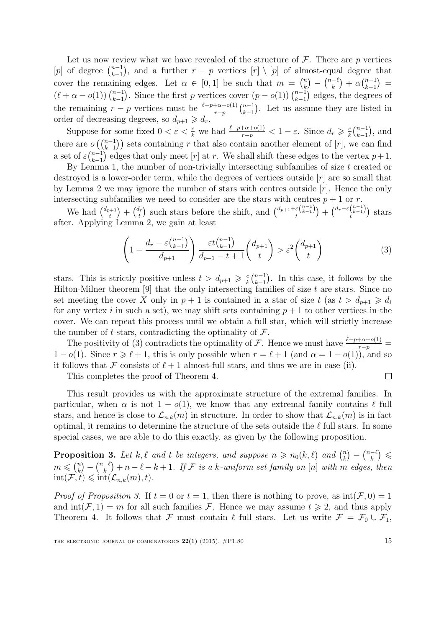Let us now review what we have revealed of the structure of  $\mathcal{F}$ . There are p vertices [p] of degree  $\binom{n-1}{k-1}$  $\binom{n-1}{k-1}$ , and a further  $r - p$  vertices  $[r] \setminus [p]$  of almost-equal degree that cover the remaining edges. Let  $\alpha \in [0,1]$  be such that  $m = \binom{n}{k}$  $\binom{n}{k} - \binom{n-\ell}{k}$  $\binom{-\ell}{k} + \alpha \binom{n-1}{k-1}$  $\binom{n-1}{k-1} =$  $(\ell + \alpha - o(1)) \binom{n-1}{k-1}$  $_{k-1}^{n-1}$ . Since the first p vertices cover  $(p - o(1))$   $\binom{n-1}{k-1}$  $_{k-1}^{n-1}$  edges, the degrees of the remaining  $r - p$  vertices must be  $\frac{\ell - p + \alpha + o(1)}{r - p}$   $\binom{n-1}{k-1}$  $_{k-1}^{n-1}$ ). Let us assume they are listed in order of decreasing degrees, so  $d_{p+1} \geq d_r$ .

Suppose for some fixed  $0 < \varepsilon < \frac{c}{k}$  we had  $\frac{\ell-p+\alpha+o(1)}{r-p} < 1-\varepsilon$ . Since  $d_r \geqslant \frac{c}{k}$  $\frac{c}{k} \binom{n-1}{k-1}$  $_{k-1}^{n-1}), \text{ and}$ there are  $o\left(\binom{n-1}{k-1}\right)$  sets containing r that also contain another element of  $[r]$ , we can find a set of  $\varepsilon \binom{n-1}{k-1}$  $_{k-1}^{n-1}$  edges that only meet [r] at r. We shall shift these edges to the vertex  $p+1$ .

By Lemma 1, the number of non-trivially intersecting subfamilies of size  $t$  created or destroyed is a lower-order term, while the degrees of vertices outside  $[r]$  are so small that by Lemma 2 we may ignore the number of stars with centres outside  $[r]$ . Hence the only intersecting subfamilies we need to consider are the stars with centres  $p + 1$  or r.

We had  $\binom{d_{p+1}}{d}$  $\binom{b+1}{t} + \binom{d_r}{t}$  $\binom{d_r}{t}$  such stars before the shift, and  $\binom{d_{p+1}+\varepsilon\binom{n-1}{k-1}}{t} + \binom{d_r-\varepsilon\binom{n-1}{k-1}}{t}$  stars after. Applying Lemma 2, we gain at least

$$
\left(1 - \frac{d_r - \varepsilon {n-1 \choose k-1}}{d_{p+1}} \frac{\varepsilon t {n-1 \choose k-1}}{d_{p+1} - t + 1} {d_{p+1 \choose t} > \varepsilon^2 {d_{p+1} \choose t} \tag{3}
$$

stars. This is strictly positive unless  $t > d_{p+1} \geqslant \frac{c}{k}$  $\frac{c}{k} \binom{n-1}{k-1}$  $_{k-1}^{n-1}$ ). In this case, it follows by the Hilton-Milner theorem  $[9]$  that the only intersecting families of size t are stars. Since no set meeting the cover X only in  $p + 1$  is contained in a star of size  $t$  (as  $t > d_{p+1} \geq d_i$ for any vertex i in such a set), we may shift sets containing  $p + 1$  to other vertices in the cover. We can repeat this process until we obtain a full star, which will strictly increase the number of t-stars, contradicting the optimality of  $\mathcal{F}$ .

The positivity of (3) contradicts the optimality of F. Hence we must have  $\frac{\ell-p+\alpha+o(1)}{r-p}$  $1 - o(1)$ . Since  $r \ge \ell + 1$ , this is only possible when  $r = \ell + 1$  (and  $\alpha = 1 - o(1)$ ), and so it follows that F consists of  $\ell + 1$  almost-full stars, and thus we are in case (ii).  $\Box$ 

This completes the proof of Theorem 4.

This result provides us with the approximate structure of the extremal families. In particular, when  $\alpha$  is not  $1 - o(1)$ , we know that any extremal family contains  $\ell$  full stars, and hence is close to  $\mathcal{L}_{n,k}(m)$  in structure. In order to show that  $\mathcal{L}_{n,k}(m)$  is in fact optimal, it remains to determine the structure of the sets outside the  $\ell$  full stars. In some special cases, we are able to do this exactly, as given by the following proposition.

**Proposition 3.** Let k,  $\ell$  and t be integers, and suppose  $n \ge n_0(k, \ell)$  and  $\binom{n}{k}$  $\binom{n}{k} - \binom{n-k}{k}$  $\binom{-\ell}{k} \ \leqslant$  $m \leqslant {n \choose k}$  $\binom{n}{k} - \binom{n-\ell}{k}$  $\binom{-\ell}{k} + n - \ell - k + 1$ . If F is a k-uniform set family on  $[n]$  with m edges, then  $\text{int}(\mathcal{F}, t) \leqslant \text{int}(\mathcal{L}_{n,k}(m), t).$ 

*Proof of Proposition 3.* If  $t = 0$  or  $t = 1$ , then there is nothing to prove, as  $int(\mathcal{F}, 0) = 1$ and  $\text{int}(\mathcal{F}, 1) = m$  for all such families  $\mathcal{F}$ . Hence we may assume  $t \geq 2$ , and thus apply Theorem 4. It follows that F must contain  $\ell$  full stars. Let us write  $\mathcal{F} = \mathcal{F}_0 \cup \mathcal{F}_1$ ,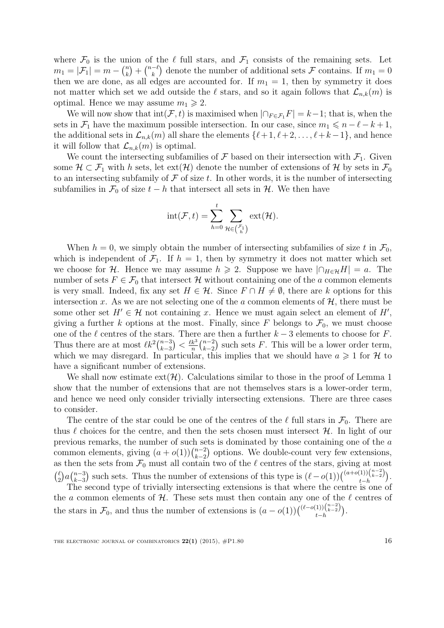where  $\mathcal{F}_0$  is the union of the  $\ell$  full stars, and  $\mathcal{F}_1$  consists of the remaining sets. Let  $m_1 = |\mathcal{F}_1| = m - \binom{n}{k}$  $\binom{n}{k} + \binom{n-\ell}{k}$  $\binom{-\ell}{k}$  denote the number of additional sets  $\mathcal F$  contains. If  $m_1 = 0$ then we are done, as all edges are accounted for. If  $m_1 = 1$ , then by symmetry it does not matter which set we add outside the  $\ell$  stars, and so it again follows that  $\mathcal{L}_{n,k}(m)$  is optimal. Hence we may assume  $m_1 \geq 2$ .

We will now show that  $\text{int}(\mathcal{F}, t)$  is maximised when  $|\bigcap_{F \in \mathcal{F}_1} F| = k-1$ ; that is, when the sets in  $\mathcal{F}_1$  have the maximum possible intersection. In our case, since  $m_1 \leq n - \ell - k + 1$ , the additional sets in  $\mathcal{L}_{n,k}(m)$  all share the elements  $\{\ell+1, \ell+2, \ldots, \ell+k-1\}$ , and hence it will follow that  $\mathcal{L}_{n,k}(m)$  is optimal.

We count the intersecting subfamilies of  $\mathcal F$  based on their intersection with  $\mathcal F_1$ . Given some  $\mathcal{H} \subset \mathcal{F}_1$  with h sets, let  $ext(\mathcal{H})$  denote the number of extensions of H by sets in  $\mathcal{F}_0$ to an intersecting subfamily of  $\mathcal F$  of size  $t$ . In other words, it is the number of intersecting subfamilies in  $\mathcal{F}_0$  of size  $t - h$  that intersect all sets in  $\mathcal{H}$ . We then have

$$
\mathrm{int}(\mathcal{F},t)=\sum_{h=0}^t\sum_{\mathcal{H}\in\binom{\mathcal{F}_1}{h}}\mathrm{ext}(\mathcal{H}).
$$

When  $h = 0$ , we simply obtain the number of intersecting subfamilies of size t in  $\mathcal{F}_0$ , which is independent of  $\mathcal{F}_1$ . If  $h = 1$ , then by symmetry it does not matter which set we choose for H. Hence we may assume  $h \geq 2$ . Suppose we have  $|\bigcap_{H \in \mathcal{H}} H| = a$ . The number of sets  $F \in \mathcal{F}_0$  that intersect H without containing one of the a common elements is very small. Indeed, fix any set  $H \in \mathcal{H}$ . Since  $F \cap H \neq \emptyset$ , there are k options for this intersection x. As we are not selecting one of the a common elements of  $H$ , there must be some other set  $H' \in \mathcal{H}$  not containing x. Hence we must again select an element of  $H'$ , giving a further k options at the most. Finally, since F belongs to  $\mathcal{F}_0$ , we must choose one of the  $\ell$  centres of the stars. There are then a further  $k - 3$  elements to choose for F. Thus there are at most  $\ell k^2 \binom{n-3}{k-3}$  $\binom{n-3}{k-3}$  <  $\frac{\ell k^3}{n}$  $\frac{k^3}{n}$  $\binom{n-2}{k-2}$  $_{k-2}^{n-2}$ ) such sets F. This will be a lower order term, which we may disregard. In particular, this implies that we should have  $a \geq 1$  for  $H$  to have a significant number of extensions.

We shall now estimate  $ext(\mathcal{H})$ . Calculations similar to those in the proof of Lemma 1 show that the number of extensions that are not themselves stars is a lower-order term, and hence we need only consider trivially intersecting extensions. There are three cases to consider.

The centre of the star could be one of the centres of the  $\ell$  full stars in  $\mathcal{F}_0$ . There are thus  $\ell$  choices for the centre, and then the sets chosen must intersect  $\mathcal{H}$ . In light of our previous remarks, the number of such sets is dominated by those containing one of the a common elements, giving  $(a + o(1))\binom{n-2}{k-2}$  $_{k-2}^{n-2}$  options. We double-count very few extensions, as then the sets from  $\mathcal{F}_0$  must all contain two of the  $\ell$  centres of the stars, giving at most  $\int_{0}^{\ell}$  $\binom{\ell}{2} a \binom{n-3}{k-3}$  $_{k-3}^{n-3}$ ) such sets. Thus the number of extensions of this type is  $(\ell-o(1))\binom{(a+o(1))\binom{n-2}{k-2}}{t-h}$  $\binom{(1)}{\binom{n-2}{k-2}}$ 

The second type of trivially intersecting extensions is that where the centre is one of the a common elements of  $H$ . These sets must then contain any one of the  $\ell$  centres of the stars in  $\mathcal{F}_0$ , and thus the number of extensions is  $(a - o(1))\binom{(\ell - o(1))\binom{n-2}{k-2}}{t-b}$  $_{t-h}^{(1))(\binom{n}{k-2}}$ .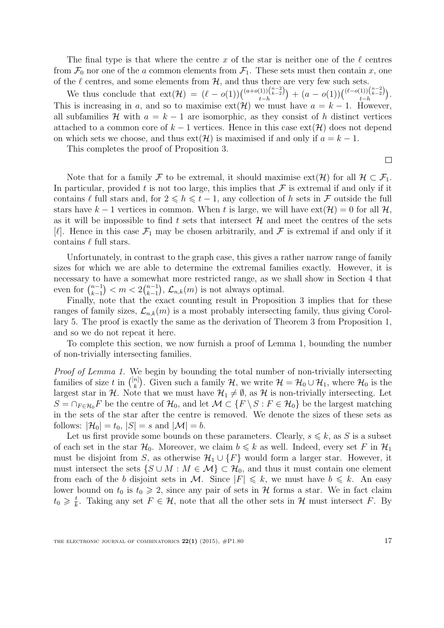The final type is that where the centre x of the star is neither one of the  $\ell$  centres from  $\mathcal{F}_0$  nor one of the a common elements from  $\mathcal{F}_1$ . These sets must then contain x, one of the  $\ell$  centres, and some elements from  $\mathcal{H}$ , and thus there are very few such sets.

We thus conclude that  $ext(\mathcal{H}) = (\ell - o(1))\binom{(a+o(1))\binom{n-2}{k-2}}{l}$  $\binom{(1)}{\binom{n-2}{k-2}} + (a - o(1)) \binom{(\ell - o(1))\binom{n-2}{k-2}}{t-h}$  $\binom{1}{k} \binom{n-2}{k-2}$ . This is increasing in a, and so to maximise  $ext(\mathcal{H})$  we must have  $a = k - 1$ . However, all subfamilies H with  $a = k - 1$  are isomorphic, as they consist of h distinct vertices attached to a common core of  $k-1$  vertices. Hence in this case  $ext(\mathcal{H})$  does not depend on which sets we choose, and thus  $ext(\mathcal{H})$  is maximised if and only if  $a = k - 1$ .

This completes the proof of Proposition 3.

 $\Box$ 

Note that for a family F to be extremal, it should maximise  $ext(\mathcal{H})$  for all  $\mathcal{H} \subset \mathcal{F}_1$ . In particular, provided t is not too large, this implies that  $\mathcal F$  is extremal if and only if it contains  $\ell$  full stars and, for  $2 \leq h \leq t - 1$ , any collection of h sets in F outside the full stars have  $k-1$  vertices in common. When t is large, we will have  $ext(\mathcal{H}) = 0$  for all  $\mathcal{H}$ , as it will be impossible to find t sets that intersect  $\mathcal{H}$  and meet the centres of the sets  $[\ell]$ . Hence in this case  $\mathcal{F}_1$  may be chosen arbitrarily, and  $\mathcal F$  is extremal if and only if it contains  $\ell$  full stars.

Unfortunately, in contrast to the graph case, this gives a rather narrow range of family sizes for which we are able to determine the extremal families exactly. However, it is necessary to have a somewhat more restricted range, as we shall show in Section 4 that even for  $\binom{n-1}{k-1}$  $\binom{n-1}{k-1} < m < 2\binom{n-1}{k-1}$  $\binom{n-1}{k-1}$ ,  $\mathcal{L}_{n,k}(m)$  is not always optimal.

Finally, note that the exact counting result in Proposition 3 implies that for these ranges of family sizes,  $\mathcal{L}_{n,k}(m)$  is a most probably intersecting family, thus giving Corollary 5. The proof is exactly the same as the derivation of Theorem 3 from Proposition 1, and so we do not repeat it here.

To complete this section, we now furnish a proof of Lemma 1, bounding the number of non-trivially intersecting families.

Proof of Lemma 1. We begin by bounding the total number of non-trivially intersecting families of size t in  $\binom{[n]}{k}$  $\mathcal{H}_k^{[n]}$ ). Given such a family  $\mathcal{H}$ , we write  $\mathcal{H} = \mathcal{H}_0 \cup \mathcal{H}_1$ , where  $\mathcal{H}_0$  is the largest star in H. Note that we must have  $\mathcal{H}_1 \neq \emptyset$ , as H is non-trivially intersecting. Let  $S = \bigcap_{F \in \mathcal{H}_0} F$  be the centre of  $\mathcal{H}_0$ , and let  $\mathcal{M} \subset \{F \setminus S : F \in \mathcal{H}_0\}$  be the largest matching in the sets of the star after the centre is removed. We denote the sizes of these sets as follows:  $|\mathcal{H}_0| = t_0$ ,  $|S| = s$  and  $|\mathcal{M}| = b$ .

Let us first provide some bounds on these parameters. Clearly,  $s \leq k$ , as S is a subset of each set in the star  $\mathcal{H}_0$ . Moreover, we claim  $b \le k$  as well. Indeed, every set F in  $\mathcal{H}_1$ must be disjoint from S, as otherwise  $\mathcal{H}_1 \cup \{F\}$  would form a larger star. However, it must intersect the sets  $\{S \cup M : M \in \mathcal{M}\}\subset \mathcal{H}_0$ , and thus it must contain one element from each of the b disjoint sets in M. Since  $|F| \leq k$ , we must have  $b \leq k$ . An easy lower bound on  $t_0$  is  $t_0 \geq 2$ , since any pair of sets in H forms a star. We in fact claim  $t_0 \geqslant \frac{t}{k}$  $\frac{t}{k}$ . Taking any set  $F \in \mathcal{H}$ , note that all the other sets in  $\mathcal{H}$  must intersect F. By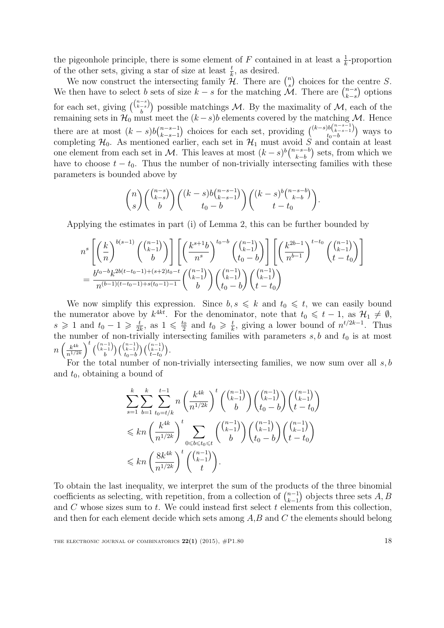the pigeonhole principle, there is some element of F contained in at least a  $\frac{1}{k}$ -proportion of the other sets, giving a star of size at least  $\frac{t}{k}$ , as desired.

We now construct the intersecting family  $\mathcal{H}$ . There are  $\binom{n}{s}$  $s$ ) choices for the centre S. We then have to select b sets of size  $k - s$  for the matching  $\mathcal{M}$ . There are  $\binom{n-s}{k-s}$  $_{k-s}^{n-s}$  options for each set, giving  $\binom{\binom{n-s}{k-s}}{k-s}$  $\binom{-s}{b}$  possible matchings M. By the maximality of M, each of the remaining sets in  $\mathcal{H}_0$  must meet the  $(k-s)b$  elements covered by the matching M. Hence there are at most  $(k-s)b\binom{n-s-1}{k-s-1}$  $_{k-s-1}^{n-s-1}$ ) choices for each set, providing  $\binom{(k-s)b\binom{n-s-1}{k-s-1}}{t_0-b}$  $\binom{k}{k-s-1}{\binom{k}{0}}$  ways to completing  $\mathcal{H}_0$ . As mentioned earlier, each set in  $\mathcal{H}_1$  must avoid S and contain at least one element from each set in M. This leaves at most  $(k-s)^b\binom{n-s-b}{b-b}$  $\binom{-s-b}{k-b}$  sets, from which we have to choose  $t - t_0$ . Thus the number of non-trivially intersecting families with these parameters is bounded above by

$$
\binom{n}{s} \binom{\binom{n-s}{k-s}}{b} \binom{(k-s)b\binom{n-s-1}{k-s-1}}{t_0-b} \binom{(k-s)^b\binom{n-s-b}{k-b}}{t-t_0}.
$$

Applying the estimates in part (i) of Lemma 2, this can be further bounded by

$$
n^{s} \left[ \left(\frac{k}{n}\right)^{b(s-1)} \binom{\binom{n-1}{k-1}}{b} \right] \left[ \left(\frac{k^{s+1}b}{n^{s}}\right)^{t_0-b} \binom{\binom{n-1}{k-1}}{t_0-b} \right] \left[ \left(\frac{k^{2b-1}}{n^{b-1}}\right)^{t-t_0} \binom{\binom{n-1}{k-1}}{t-t_0} \right]
$$

$$
= \frac{b^{t_0-b}k^{2b(t-t_0-1)+(s+2)t_0-t}}{n^{(b-1)(t-t_0-1)+s(t_0-1)-1}} \binom{\binom{n-1}{k-1}}{b} \binom{\binom{n-1}{k-1}}{t-t_0}
$$

We now simplify this expression. Since  $b, s \leq k$  and  $t_0 \leq t$ , we can easily bound the numerator above by  $k^{4kt}$ . For the denominator, note that  $t_0 \leq t - 1$ , as  $\mathcal{H}_1 \neq \emptyset$ ,  $s \geqslant 1$  and  $t_0 - 1 \geqslant \frac{t}{2l}$  $\frac{t}{2k}$ , as  $1 \leqslant \frac{t_0}{2}$  $rac{t_0}{2}$  and  $t_0 \geqslant \frac{t}{k}$  $\frac{t}{k}$ , giving a lower bound of  $n^{t/2k-1}$ . Thus the number of non-trivially intersecting families with parameters  $s, b$  and  $t_0$  is at most  $n\left(\frac{k^{4k}}{n^{1/2}}\right)$  $n^{1/2k}$  $\bigg\}^t \binom{n-1}{k-1}$  $\left(\begin{smallmatrix} -1\ -1\ b \end{smallmatrix}\right)$   $\left(\begin{smallmatrix} n-1\ k-1\ t_0-b \end{smallmatrix}\right)$  $\binom{\binom{n-1}{k-1}}{t_0-b}$   $\binom{\binom{n-1}{k-1}}{t-t_0}$  $\binom{k-1}{t-t_0}$ .

For the total number of non-trivially intersecting families, we now sum over all  $s, b$ and  $t_0$ , obtaining a bound of

$$
\sum_{s=1}^{k} \sum_{b=1}^{k} \sum_{t_0=t/k}^{t-1} n \left(\frac{k^{4k}}{n^{1/2k}}\right)^t \binom{\binom{n-1}{k-1}}{b} \binom{\binom{n-1}{k-1}}{t_0-b} \binom{\binom{n-1}{k-1}}{t-t_0} \n\leq k n \left(\frac{k^{4k}}{n^{1/2k}}\right)^t \sum_{0 \leq b \leq t_0 \leq t} \binom{\binom{n-1}{k-1}}{b} \binom{\binom{n-1}{k-1}}{t_0-b} \binom{\binom{n-1}{k-1}}{t-t_0} \n\leq k n \left(\frac{8k^{4k}}{n^{1/2k}}\right)^t \binom{\binom{n-1}{k-1}}{t}.
$$

To obtain the last inequality, we interpret the sum of the products of the three binomial coefficients as selecting, with repetition, from a collection of  $\binom{n-1}{k-1}$  $_{k-1}^{n-1}$  objects three sets  $A, B$ and  $C$  whose sizes sum to  $t$ . We could instead first select  $t$  elements from this collection, and then for each element decide which sets among  $A, B$  and  $C$  the elements should belong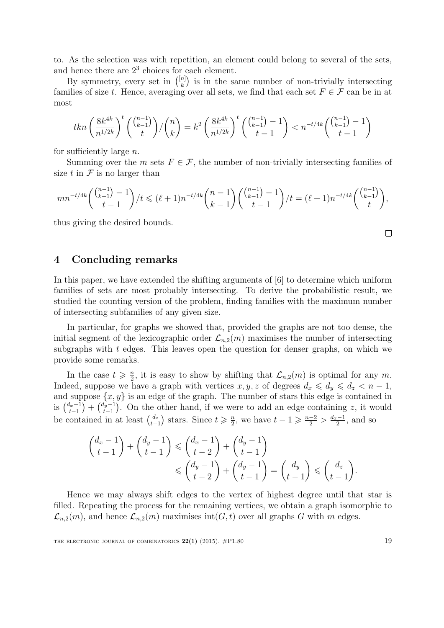to. As the selection was with repetition, an element could belong to several of the sets, and hence there are  $2<sup>3</sup>$  choices for each element.

By symmetry, every set in  $\binom{[n]}{k}$  $\binom{n}{k}$  is in the same number of non-trivially intersecting families of size t. Hence, averaging over all sets, we find that each set  $F \in \mathcal{F}$  can be in at most

$$
tkn\left(\frac{8k^{4k}}{n^{1/2k}}\right)^t\binom{\binom{n-1}{k-1}}{t}/\binom{n}{k} = k^2 \left(\frac{8k^{4k}}{n^{1/2k}}\right)^t\binom{\binom{n-1}{k-1}-1}{t-1} < n^{-t/4k}\binom{\binom{n-1}{k-1}-1}{t-1}
$$

for sufficiently large  $n$ .

Summing over the m sets  $F \in \mathcal{F}$ , the number of non-trivially intersecting families of size t in  $\mathcal F$  is no larger than

$$
mn^{-t/4k} \binom{\binom{n-1}{k-1}-1}{t-1} / t \leq (\ell+1)n^{-t/4k} \binom{n-1}{k-1} \binom{\binom{n-1}{k-1}-1}{t-1} / t = (\ell+1)n^{-t/4k} \binom{\binom{n-1}{k-1}}{t},
$$

thus giving the desired bounds.

## 4 Concluding remarks

In this paper, we have extended the shifting arguments of [6] to determine which uniform families of sets are most probably intersecting. To derive the probabilistic result, we studied the counting version of the problem, finding families with the maximum number of intersecting subfamilies of any given size.

In particular, for graphs we showed that, provided the graphs are not too dense, the initial segment of the lexicographic order  $\mathcal{L}_{n,2}(m)$  maximises the number of intersecting subgraphs with  $t$  edges. This leaves open the question for denser graphs, on which we provide some remarks.

In the case  $t \geqslant \frac{n}{2}$  $\frac{n}{2}$ , it is easy to show by shifting that  $\mathcal{L}_{n,2}(m)$  is optimal for any m. Indeed, suppose we have a graph with vertices  $x, y, z$  of degrees  $d_x \leq d_y \leq d_z < n - 1$ , and suppose  $\{x, y\}$  is an edge of the graph. The number of stars this edge is contained in is  $\binom{d_x-1}{t-1}$  $\binom{d_x-1}{t-1} + \binom{d_y-1}{t-1}$  $t_{t-1}^{l_y-1}$ . On the other hand, if we were to add an edge containing z, it would be contained in at least  $\binom{d_z}{t}$  $\binom{d_z}{t-1}$  stars. Since  $t \geqslant \frac{n}{2}$  $\frac{n}{2}$ , we have  $t-1 \geqslant \frac{n-2}{2} > \frac{d_x-1}{2}$  $\frac{1}{2}$ , and so

$$
\begin{aligned}\n\begin{pmatrix} d_x - 1 \\ t - 1 \end{pmatrix} + \begin{pmatrix} d_y - 1 \\ t - 1 \end{pmatrix} &\leq \begin{pmatrix} d_x - 1 \\ t - 2 \end{pmatrix} + \begin{pmatrix} d_y - 1 \\ t - 1 \end{pmatrix} \\
&\leq \begin{pmatrix} d_y - 1 \\ t - 2 \end{pmatrix} + \begin{pmatrix} d_y - 1 \\ t - 1 \end{pmatrix} = \begin{pmatrix} d_y \\ t - 1 \end{pmatrix} \leq \begin{pmatrix} d_z \\ t - 1 \end{pmatrix}.\n\end{aligned}
$$

Hence we may always shift edges to the vertex of highest degree until that star is filled. Repeating the process for the remaining vertices, we obtain a graph isomorphic to  $\mathcal{L}_{n,2}(m)$ , and hence  $\mathcal{L}_{n,2}(m)$  maximises int $(G, t)$  over all graphs G with m edges.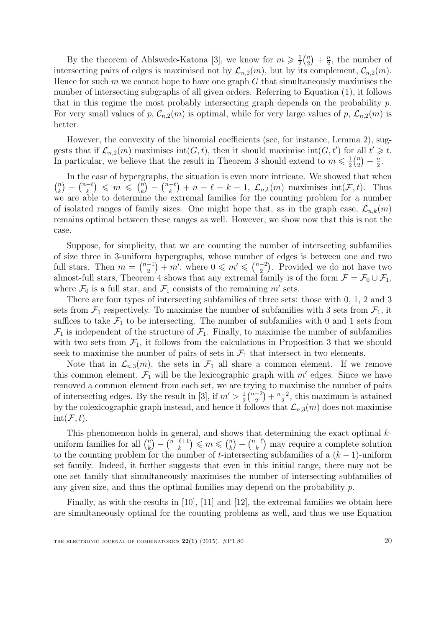By the theorem of Ahlswede-Katona [3], we know for  $m \geqslant \frac{1}{2}$  $\frac{1}{2}$  $\binom{n}{2}$  $\binom{n}{2} + \frac{n}{2}$  $\frac{n}{2}$ , the number of intersecting pairs of edges is maximised not by  $\mathcal{L}_{n,2}(m)$ , but by its complement,  $\mathcal{C}_{n,2}(m)$ . Hence for such  $m$  we cannot hope to have one graph  $G$  that simultaneously maximises the number of intersecting subgraphs of all given orders. Referring to Equation (1), it follows that in this regime the most probably intersecting graph depends on the probability  $p$ . For very small values of p,  $\mathcal{C}_{n,2}(m)$  is optimal, while for very large values of p,  $\mathcal{L}_{n,2}(m)$  is better.

However, the convexity of the binomial coefficients (see, for instance, Lemma 2), suggests that if  $\mathcal{L}_{n,2}(m)$  maximises int $(G, t)$ , then it should maximise int $(G, t')$  for all  $t' \geq t$ . In particular, we believe that the result in Theorem 3 should extend to  $m \leq \frac{1}{2}$  $\frac{1}{2}$  $\binom{n}{2}$  $\binom{n}{2} - \frac{n}{2}$  $\frac{n}{2}$ .

In the case of hypergraphs, the situation is even more intricate. We showed that when  $\binom{n}{k}$  $\binom{n}{k} - \binom{n-\ell}{k}$  $\binom{-\ell}{k} \leqslant m \leqslant \binom{n}{k}$  $\binom{n}{k} - \binom{n-\ell}{k}$  $\binom{-\ell}{k} + n - \ell - k + 1$ ,  $\mathcal{L}_{n,k}(m)$  maximises int $(\mathcal{F}, t)$ . Thus we are able to determine the extremal families for the counting problem for a number of isolated ranges of family sizes. One might hope that, as in the graph case,  $\mathcal{L}_{n,k}(m)$ remains optimal between these ranges as well. However, we show now that this is not the case.

Suppose, for simplicity, that we are counting the number of intersecting subfamilies of size three in 3-uniform hypergraphs, whose number of edges is between one and two full stars. Then  $m = \binom{n-1}{2}$  $\binom{-1}{2} + m'$ , where  $0 \leq m' \leq \binom{n-2}{2}$  $\binom{-2}{2}$ . Provided we do not have two almost-full stars, Theorem 4 shows that any extremal family is of the form  $\mathcal{F} = \mathcal{F}_0 \cup \mathcal{F}_1$ , where  $\mathcal{F}_0$  is a full star, and  $\mathcal{F}_1$  consists of the remaining m' sets.

There are four types of intersecting subfamilies of three sets: those with 0, 1, 2 and 3 sets from  $\mathcal{F}_1$  respectively. To maximise the number of subfamilies with 3 sets from  $\mathcal{F}_1$ , it suffices to take  $\mathcal{F}_1$  to be intersecting. The number of subfamilies with 0 and 1 sets from  $\mathcal{F}_1$  is independent of the structure of  $\mathcal{F}_1$ . Finally, to maximise the number of subfamilies with two sets from  $\mathcal{F}_1$ , it follows from the calculations in Proposition 3 that we should seek to maximise the number of pairs of sets in  $\mathcal{F}_1$  that intersect in two elements.

Note that in  $\mathcal{L}_{n,3}(m)$ , the sets in  $\mathcal{F}_1$  all share a common element. If we remove this common element,  $\mathcal{F}_1$  will be the lexicographic graph with  $m'$  edges. Since we have removed a common element from each set, we are trying to maximise the number of pairs of intersecting edges. By the result in [3], if  $m' > \frac{1}{2}$  $\frac{1}{2} \binom{n-2}{2}$  $\binom{-2}{2} + \frac{n-2}{2}$  $\frac{-2}{2}$ , this maximum is attained by the colexicographic graph instead, and hence it follows that  $\mathcal{L}_{n,3}(m)$  does not maximise  $\text{int}(\mathcal{F}, t)$ .

This phenomenon holds in general, and shows that determining the exact optimal kuniform families for all  $\binom{n}{k}$  $\binom{n}{k} - \binom{n-\ell+1}{k}$  $\binom{k+1}{k} \leqslant m \leqslant \binom{n}{k}$  $\binom{n}{k} - \binom{n-\ell}{k}$  $\binom{-\ell}{k}$  may require a complete solution to the counting problem for the number of t-intersecting subfamilies of a  $(k-1)$ -uniform set family. Indeed, it further suggests that even in this initial range, there may not be one set family that simultaneously maximises the number of intersecting subfamilies of any given size, and thus the optimal families may depend on the probability  $p$ .

Finally, as with the results in [10], [11] and [12], the extremal families we obtain here are simultaneously optimal for the counting problems as well, and thus we use Equation